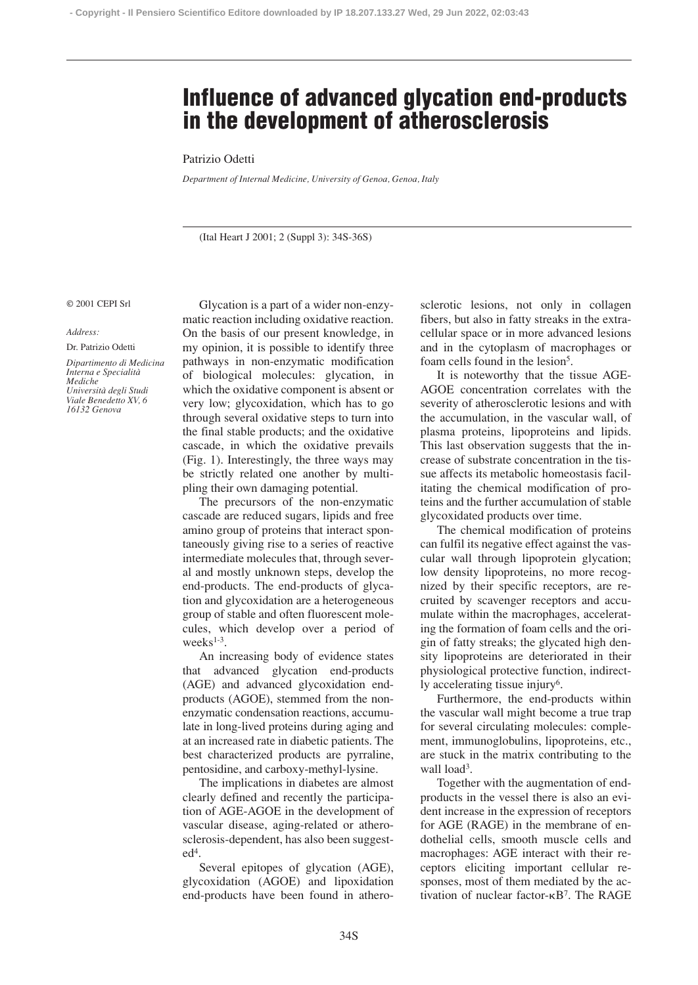# **Influence of advanced glycation end-products in the development of atherosclerosis**

## Patrizio Odetti

*Department of Internal Medicine, University of Genoa, Genoa, Italy*

(Ital Heart J 2001; 2 (Suppl 3): 34S-36S)

#### © 2001 CEPI Srl

### *Address:*

Dr. Patrizio Odetti

*Dipartimento di Medicina Interna e Specialità Mediche Università degli Studi Viale Benedetto XV, 6 16132 Genova*

Glycation is a part of a wider non-enzymatic reaction including oxidative reaction. On the basis of our present knowledge, in my opinion, it is possible to identify three pathways in non-enzymatic modification of biological molecules: glycation, in which the oxidative component is absent or very low; glycoxidation, which has to go through several oxidative steps to turn into the final stable products; and the oxidative cascade, in which the oxidative prevails (Fig. 1). Interestingly, the three ways may be strictly related one another by multipling their own damaging potential.

The precursors of the non-enzymatic cascade are reduced sugars, lipids and free amino group of proteins that interact spontaneously giving rise to a series of reactive intermediate molecules that, through several and mostly unknown steps, develop the end-products. The end-products of glycation and glycoxidation are a heterogeneous group of stable and often fluorescent molecules, which develop over a period of weeks<sup>1-3</sup>.

An increasing body of evidence states that advanced glycation end-products (AGE) and advanced glycoxidation endproducts (AGOE), stemmed from the nonenzymatic condensation reactions, accumulate in long-lived proteins during aging and at an increased rate in diabetic patients. The best characterized products are pyrraline, pentosidine, and carboxy-methyl-lysine.

The implications in diabetes are almost clearly defined and recently the participation of AGE-AGOE in the development of vascular disease, aging-related or atherosclerosis-dependent, has also been suggest $ed<sup>4</sup>$ .

Several epitopes of glycation (AGE), glycoxidation (AGOE) and lipoxidation end-products have been found in atherosclerotic lesions, not only in collagen fibers, but also in fatty streaks in the extracellular space or in more advanced lesions and in the cytoplasm of macrophages or foam cells found in the lesion<sup>5</sup>.

It is noteworthy that the tissue AGE-AGOE concentration correlates with the severity of atherosclerotic lesions and with the accumulation, in the vascular wall, of plasma proteins, lipoproteins and lipids. This last observation suggests that the increase of substrate concentration in the tissue affects its metabolic homeostasis facilitating the chemical modification of proteins and the further accumulation of stable glycoxidated products over time.

The chemical modification of proteins can fulfil its negative effect against the vascular wall through lipoprotein glycation; low density lipoproteins, no more recognized by their specific receptors, are recruited by scavenger receptors and accumulate within the macrophages, accelerating the formation of foam cells and the origin of fatty streaks; the glycated high density lipoproteins are deteriorated in their physiological protective function, indirectly accelerating tissue injury<sup>6</sup>.

Furthermore, the end-products within the vascular wall might become a true trap for several circulating molecules: complement, immunoglobulins, lipoproteins, etc., are stuck in the matrix contributing to the wall load<sup>3</sup>.

Together with the augmentation of endproducts in the vessel there is also an evident increase in the expression of receptors for AGE (RAGE) in the membrane of endothelial cells, smooth muscle cells and macrophages: AGE interact with their receptors eliciting important cellular responses, most of them mediated by the activation of nuclear factor- $\kappa B^7$ . The RAGE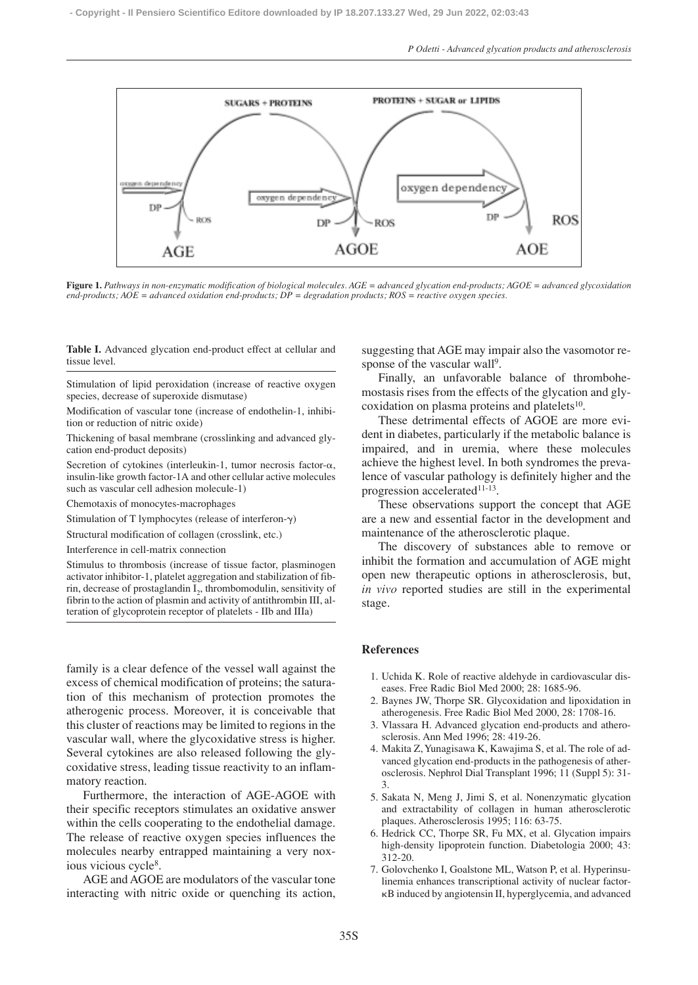

**Figure 1.** *Pathways in non-enzymatic modification of biological molecules. AGE = advanced glycation end-products; AGOE = advanced glycoxidation end-products; AOE = advanced oxidation end-products; DP = degradation products; ROS = reactive oxygen species.*

**Table I.** Advanced glycation end-product effect at cellular and tissue level.

Stimulation of lipid peroxidation (increase of reactive oxygen species, decrease of superoxide dismutase)

Modification of vascular tone (increase of endothelin-1, inhibition or reduction of nitric oxide)

Thickening of basal membrane (crosslinking and advanced glycation end-product deposits)

Secretion of cytokines (interleukin-1, tumor necrosis factor- $\alpha$ , insulin-like growth factor-1A and other cellular active molecules such as vascular cell adhesion molecule-1)

Chemotaxis of monocytes-macrophages

Stimulation of T lymphocytes (release of interferon- $\gamma$ )

Structural modification of collagen (crosslink, etc.)

Interference in cell-matrix connection

Stimulus to thrombosis (increase of tissue factor, plasminogen activator inhibitor-1, platelet aggregation and stabilization of fibrin, decrease of prostaglandin  $I_2$ , thrombomodulin, sensitivity of fibrin to the action of plasmin and activity of antithrombin III, alteration of glycoprotein receptor of platelets - IIb and IIIa)

family is a clear defence of the vessel wall against the excess of chemical modification of proteins; the saturation of this mechanism of protection promotes the atherogenic process. Moreover, it is conceivable that this cluster of reactions may be limited to regions in the vascular wall, where the glycoxidative stress is higher. Several cytokines are also released following the glycoxidative stress, leading tissue reactivity to an inflammatory reaction.

Furthermore, the interaction of AGE-AGOE with their specific receptors stimulates an oxidative answer within the cells cooperating to the endothelial damage. The release of reactive oxygen species influences the molecules nearby entrapped maintaining a very noxious vicious cycle8.

AGE and AGOE are modulators of the vascular tone interacting with nitric oxide or quenching its action, suggesting that AGE may impair also the vasomotor response of the vascular wall<sup>9</sup>.

Finally, an unfavorable balance of thrombohemostasis rises from the effects of the glycation and glycoxidation on plasma proteins and platelets<sup>10</sup>.

These detrimental effects of AGOE are more evident in diabetes, particularly if the metabolic balance is impaired, and in uremia, where these molecules achieve the highest level. In both syndromes the prevalence of vascular pathology is definitely higher and the progression accelerated<sup>11-13</sup>.

These observations support the concept that AGE are a new and essential factor in the development and maintenance of the atherosclerotic plaque.

The discovery of substances able to remove or inhibit the formation and accumulation of AGE might open new therapeutic options in atherosclerosis, but, *in vivo* reported studies are still in the experimental stage.

# **References**

- 1. Uchida K. Role of reactive aldehyde in cardiovascular diseases. Free Radic Biol Med 2000; 28: 1685-96.
- 2. Baynes JW, Thorpe SR. Glycoxidation and lipoxidation in atherogenesis. Free Radic Biol Med 2000, 28: 1708-16.
- 3. Vlassara H. Advanced glycation end-products and atherosclerosis. Ann Med 1996; 28: 419-26.
- 4. Makita Z, Yunagisawa K, Kawajima S, et al. The role of advanced glycation end-products in the pathogenesis of atherosclerosis. Nephrol Dial Transplant 1996; 11 (Suppl 5): 31- 3.
- 5. Sakata N, Meng J, Jimi S, et al. Nonenzymatic glycation and extractability of collagen in human atherosclerotic plaques. Atherosclerosis 1995; 116: 63-75.
- 6. Hedrick CC, Thorpe SR, Fu MX, et al. Glycation impairs high-density lipoprotein function. Diabetologia 2000; 43: 312-20.
- 7. Golovchenko I, Goalstone ML, Watson P, et al. Hyperinsulinemia enhances transcriptional activity of nuclear factor- -B induced by angiotensin II, hyperglycemia, and advanced